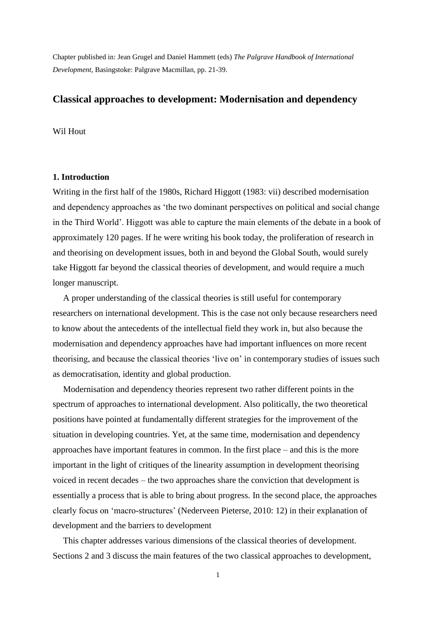Chapter published in: Jean Grugel and Daniel Hammett (eds) *The Palgrave Handbook of International Development*, Basingstoke: Palgrave Macmillan, pp. 21-39.

# **Classical approaches to development: Modernisation and dependency**

Wil Hout

## **1. Introduction**

Writing in the first half of the 1980s, Richard Higgott (1983: vii) described modernisation and dependency approaches as 'the two dominant perspectives on political and social change in the Third World'. Higgott was able to capture the main elements of the debate in a book of approximately 120 pages. If he were writing his book today, the proliferation of research in and theorising on development issues, both in and beyond the Global South, would surely take Higgott far beyond the classical theories of development, and would require a much longer manuscript.

A proper understanding of the classical theories is still useful for contemporary researchers on international development. This is the case not only because researchers need to know about the antecedents of the intellectual field they work in, but also because the modernisation and dependency approaches have had important influences on more recent theorising, and because the classical theories 'live on' in contemporary studies of issues such as democratisation, identity and global production.

Modernisation and dependency theories represent two rather different points in the spectrum of approaches to international development. Also politically, the two theoretical positions have pointed at fundamentally different strategies for the improvement of the situation in developing countries. Yet, at the same time, modernisation and dependency approaches have important features in common. In the first place – and this is the more important in the light of critiques of the linearity assumption in development theorising voiced in recent decades – the two approaches share the conviction that development is essentially a process that is able to bring about progress. In the second place, the approaches clearly focus on 'macro-structures' (Nederveen Pieterse, 2010: 12) in their explanation of development and the barriers to development

This chapter addresses various dimensions of the classical theories of development. Sections 2 and 3 discuss the main features of the two classical approaches to development,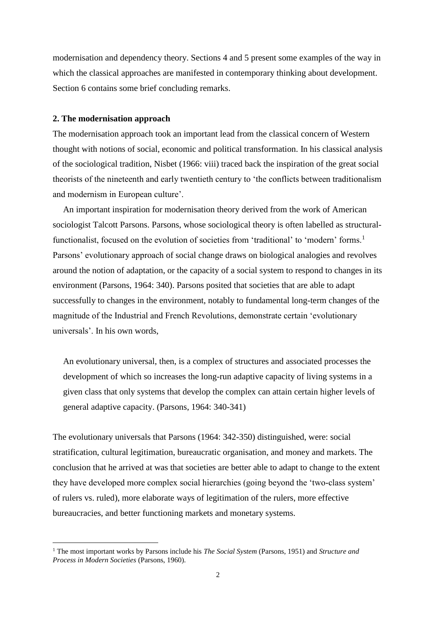modernisation and dependency theory. Sections 4 and 5 present some examples of the way in which the classical approaches are manifested in contemporary thinking about development. Section 6 contains some brief concluding remarks.

#### **2. The modernisation approach**

-

The modernisation approach took an important lead from the classical concern of Western thought with notions of social, economic and political transformation. In his classical analysis of the sociological tradition, Nisbet (1966: viii) traced back the inspiration of the great social theorists of the nineteenth and early twentieth century to 'the conflicts between traditionalism and modernism in European culture'.

An important inspiration for modernisation theory derived from the work of American sociologist Talcott Parsons. Parsons, whose sociological theory is often labelled as structuralfunctionalist, focused on the evolution of societies from 'traditional' to 'modern' forms.<sup>1</sup> Parsons' evolutionary approach of social change draws on biological analogies and revolves around the notion of adaptation, or the capacity of a social system to respond to changes in its environment (Parsons, 1964: 340). Parsons posited that societies that are able to adapt successfully to changes in the environment, notably to fundamental long-term changes of the magnitude of the Industrial and French Revolutions, demonstrate certain 'evolutionary universals'. In his own words,

An evolutionary universal, then, is a complex of structures and associated processes the development of which so increases the long-run adaptive capacity of living systems in a given class that only systems that develop the complex can attain certain higher levels of general adaptive capacity. (Parsons, 1964: 340-341)

The evolutionary universals that Parsons (1964: 342-350) distinguished, were: social stratification, cultural legitimation, bureaucratic organisation, and money and markets. The conclusion that he arrived at was that societies are better able to adapt to change to the extent they have developed more complex social hierarchies (going beyond the 'two-class system' of rulers vs. ruled), more elaborate ways of legitimation of the rulers, more effective bureaucracies, and better functioning markets and monetary systems.

<sup>1</sup> The most important works by Parsons include his *The Social System* (Parsons, 1951) and *Structure and Process in Modern Societies* (Parsons, 1960).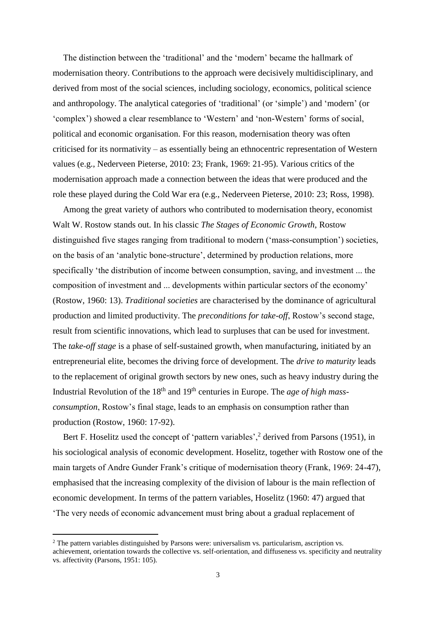The distinction between the 'traditional' and the 'modern' became the hallmark of modernisation theory. Contributions to the approach were decisively multidisciplinary, and derived from most of the social sciences, including sociology, economics, political science and anthropology. The analytical categories of 'traditional' (or 'simple') and 'modern' (or 'complex') showed a clear resemblance to 'Western' and 'non-Western' forms of social, political and economic organisation. For this reason, modernisation theory was often criticised for its normativity – as essentially being an ethnocentric representation of Western values (e.g., Nederveen Pieterse, 2010: 23; Frank, 1969: 21-95). Various critics of the modernisation approach made a connection between the ideas that were produced and the role these played during the Cold War era (e.g., Nederveen Pieterse, 2010: 23; Ross, 1998).

Among the great variety of authors who contributed to modernisation theory, economist Walt W. Rostow stands out. In his classic *The Stages of Economic Growth*, Rostow distinguished five stages ranging from traditional to modern ('mass-consumption') societies, on the basis of an 'analytic bone-structure', determined by production relations, more specifically 'the distribution of income between consumption, saving, and investment ... the composition of investment and ... developments within particular sectors of the economy' (Rostow, 1960: 13). *Traditional societies* are characterised by the dominance of agricultural production and limited productivity. The *preconditions for take-off*, Rostow's second stage, result from scientific innovations, which lead to surpluses that can be used for investment. The *take-off stage* is a phase of self-sustained growth, when manufacturing, initiated by an entrepreneurial elite, becomes the driving force of development. The *drive to maturity* leads to the replacement of original growth sectors by new ones, such as heavy industry during the Industrial Revolution of the 18th and 19th centuries in Europe. The *age of high massconsumption*, Rostow's final stage, leads to an emphasis on consumption rather than production (Rostow, 1960: 17-92).

Bert F. Hoselitz used the concept of 'pattern variables',<sup>2</sup> derived from Parsons (1951), in his sociological analysis of economic development. Hoselitz, together with Rostow one of the main targets of Andre Gunder Frank's critique of modernisation theory (Frank, 1969: 24-47), emphasised that the increasing complexity of the division of labour is the main reflection of economic development. In terms of the pattern variables, Hoselitz (1960: 47) argued that 'The very needs of economic advancement must bring about a gradual replacement of

 $<sup>2</sup>$  The pattern variables distinguished by Parsons were: universalism vs. particularism, ascription vs.</sup> achievement, orientation towards the collective vs. self-orientation, and diffuseness vs. specificity and neutrality vs. affectivity (Parsons, 1951: 105).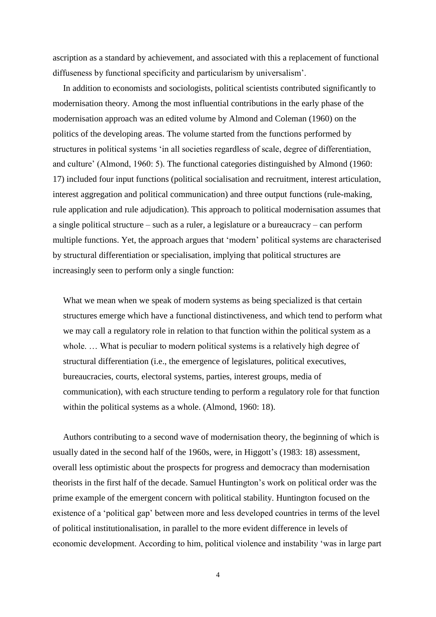ascription as a standard by achievement, and associated with this a replacement of functional diffuseness by functional specificity and particularism by universalism'.

In addition to economists and sociologists, political scientists contributed significantly to modernisation theory. Among the most influential contributions in the early phase of the modernisation approach was an edited volume by Almond and Coleman (1960) on the politics of the developing areas. The volume started from the functions performed by structures in political systems 'in all societies regardless of scale, degree of differentiation, and culture' (Almond, 1960: 5). The functional categories distinguished by Almond (1960: 17) included four input functions (political socialisation and recruitment, interest articulation, interest aggregation and political communication) and three output functions (rule-making, rule application and rule adjudication). This approach to political modernisation assumes that a single political structure – such as a ruler, a legislature or a bureaucracy – can perform multiple functions. Yet, the approach argues that 'modern' political systems are characterised by structural differentiation or specialisation, implying that political structures are increasingly seen to perform only a single function:

What we mean when we speak of modern systems as being specialized is that certain structures emerge which have a functional distinctiveness, and which tend to perform what we may call a regulatory role in relation to that function within the political system as a whole. … What is peculiar to modern political systems is a relatively high degree of structural differentiation (i.e., the emergence of legislatures, political executives, bureaucracies, courts, electoral systems, parties, interest groups, media of communication), with each structure tending to perform a regulatory role for that function within the political systems as a whole. (Almond, 1960: 18).

Authors contributing to a second wave of modernisation theory, the beginning of which is usually dated in the second half of the 1960s, were, in Higgott's (1983: 18) assessment, overall less optimistic about the prospects for progress and democracy than modernisation theorists in the first half of the decade. Samuel Huntington's work on political order was the prime example of the emergent concern with political stability. Huntington focused on the existence of a 'political gap' between more and less developed countries in terms of the level of political institutionalisation, in parallel to the more evident difference in levels of economic development. According to him, political violence and instability 'was in large part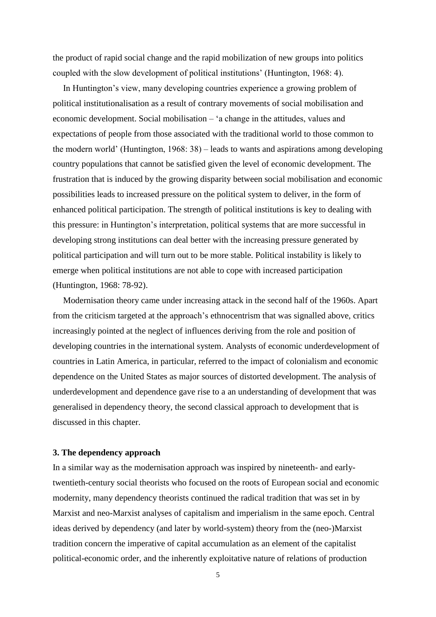the product of rapid social change and the rapid mobilization of new groups into politics coupled with the slow development of political institutions' (Huntington, 1968: 4).

In Huntington's view, many developing countries experience a growing problem of political institutionalisation as a result of contrary movements of social mobilisation and economic development. Social mobilisation – 'a change in the attitudes, values and expectations of people from those associated with the traditional world to those common to the modern world' (Huntington, 1968: 38) – leads to wants and aspirations among developing country populations that cannot be satisfied given the level of economic development. The frustration that is induced by the growing disparity between social mobilisation and economic possibilities leads to increased pressure on the political system to deliver, in the form of enhanced political participation. The strength of political institutions is key to dealing with this pressure: in Huntington's interpretation, political systems that are more successful in developing strong institutions can deal better with the increasing pressure generated by political participation and will turn out to be more stable. Political instability is likely to emerge when political institutions are not able to cope with increased participation (Huntington, 1968: 78-92).

Modernisation theory came under increasing attack in the second half of the 1960s. Apart from the criticism targeted at the approach's ethnocentrism that was signalled above, critics increasingly pointed at the neglect of influences deriving from the role and position of developing countries in the international system. Analysts of economic underdevelopment of countries in Latin America, in particular, referred to the impact of colonialism and economic dependence on the United States as major sources of distorted development. The analysis of underdevelopment and dependence gave rise to a an understanding of development that was generalised in dependency theory, the second classical approach to development that is discussed in this chapter.

#### **3. The dependency approach**

In a similar way as the modernisation approach was inspired by nineteenth- and earlytwentieth-century social theorists who focused on the roots of European social and economic modernity, many dependency theorists continued the radical tradition that was set in by Marxist and neo-Marxist analyses of capitalism and imperialism in the same epoch. Central ideas derived by dependency (and later by world-system) theory from the (neo-)Marxist tradition concern the imperative of capital accumulation as an element of the capitalist political-economic order, and the inherently exploitative nature of relations of production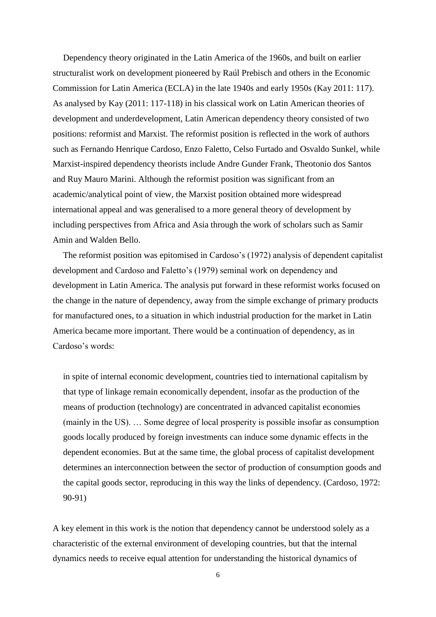Dependency theory originated in the Latin America of the 1960s, and built on earlier structuralist work on development pioneered by Raúl Prebisch and others in the Economic Commission for Latin America (ECLA) in the late 1940s and early 1950s (Kay 2011: 117). As analysed by Kay (2011: 117-118) in his classical work on Latin American theories of development and underdevelopment, Latin American dependency theory consisted of two positions: reformist and Marxist. The reformist position is reflected in the work of authors such as Fernando Henrique Cardoso, Enzo Faletto, Celso Furtado and Osvaldo Sunkel, while Marxist-inspired dependency theorists include Andre Gunder Frank, Theotonio dos Santos and Ruy Mauro Marini. Although the reformist position was significant from an academic/analytical point of view, the Marxist position obtained more widespread international appeal and was generalised to a more general theory of development by including perspectives from Africa and Asia through the work of scholars such as Samir Amin and Walden Bello.

The reformist position was epitomised in Cardoso's (1972) analysis of dependent capitalist development and Cardoso and Faletto's (1979) seminal work on dependency and development in Latin America. The analysis put forward in these reformist works focused on the change in the nature of dependency, away from the simple exchange of primary products for manufactured ones, to a situation in which industrial production for the market in Latin America became more important. There would be a continuation of dependency, as in Cardoso's words:

in spite of internal economic development, countries tied to international capitalism by that type of linkage remain economically dependent, insofar as the production of the means of production (technology) are concentrated in advanced capitalist economies (mainly in the US). … Some degree of local prosperity is possible insofar as consumption goods locally produced by foreign investments can induce some dynamic effects in the dependent economies. But at the same time, the global process of capitalist development determines an interconnection between the sector of production of consumption goods and the capital goods sector, reproducing in this way the links of dependency. (Cardoso, 1972: 90-91)

A key element in this work is the notion that dependency cannot be understood solely as a characteristic of the external environment of developing countries, but that the internal dynamics needs to receive equal attention for understanding the historical dynamics of

<sup>6</sup>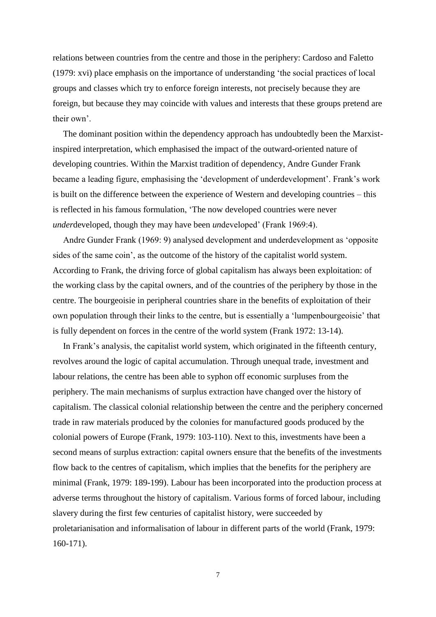relations between countries from the centre and those in the periphery: Cardoso and Faletto (1979: xvi) place emphasis on the importance of understanding 'the social practices of local groups and classes which try to enforce foreign interests, not precisely because they are foreign, but because they may coincide with values and interests that these groups pretend are their own'.

The dominant position within the dependency approach has undoubtedly been the Marxistinspired interpretation, which emphasised the impact of the outward-oriented nature of developing countries. Within the Marxist tradition of dependency, Andre Gunder Frank became a leading figure, emphasising the 'development of underdevelopment'. Frank's work is built on the difference between the experience of Western and developing countries – this is reflected in his famous formulation, 'The now developed countries were never *under*developed, though they may have been *un*developed' (Frank 1969:4).

Andre Gunder Frank (1969: 9) analysed development and underdevelopment as 'opposite sides of the same coin', as the outcome of the history of the capitalist world system. According to Frank, the driving force of global capitalism has always been exploitation: of the working class by the capital owners, and of the countries of the periphery by those in the centre. The bourgeoisie in peripheral countries share in the benefits of exploitation of their own population through their links to the centre, but is essentially a 'lumpenbourgeoisie' that is fully dependent on forces in the centre of the world system (Frank 1972: 13-14).

In Frank's analysis, the capitalist world system, which originated in the fifteenth century, revolves around the logic of capital accumulation. Through unequal trade, investment and labour relations, the centre has been able to syphon off economic surpluses from the periphery. The main mechanisms of surplus extraction have changed over the history of capitalism. The classical colonial relationship between the centre and the periphery concerned trade in raw materials produced by the colonies for manufactured goods produced by the colonial powers of Europe (Frank, 1979: 103-110). Next to this, investments have been a second means of surplus extraction: capital owners ensure that the benefits of the investments flow back to the centres of capitalism, which implies that the benefits for the periphery are minimal (Frank, 1979: 189-199). Labour has been incorporated into the production process at adverse terms throughout the history of capitalism. Various forms of forced labour, including slavery during the first few centuries of capitalist history, were succeeded by proletarianisation and informalisation of labour in different parts of the world (Frank, 1979: 160-171).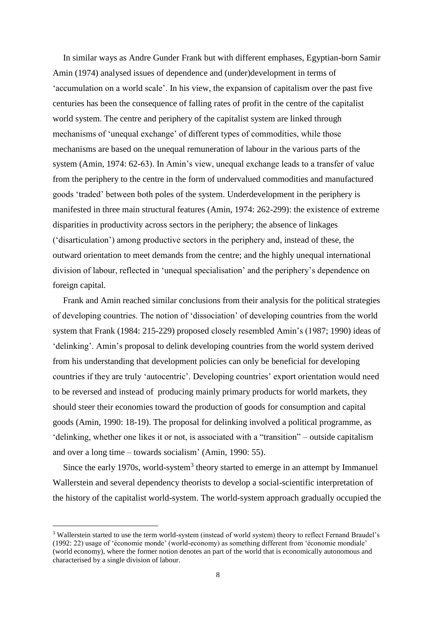In similar ways as Andre Gunder Frank but with different emphases, Egyptian-born Samir Amin (1974) analysed issues of dependence and (under)development in terms of 'accumulation on a world scale'. In his view, the expansion of capitalism over the past five centuries has been the consequence of falling rates of profit in the centre of the capitalist world system. The centre and periphery of the capitalist system are linked through mechanisms of 'unequal exchange' of different types of commodities, while those mechanisms are based on the unequal remuneration of labour in the various parts of the system (Amin, 1974: 62-63). In Amin's view, unequal exchange leads to a transfer of value from the periphery to the centre in the form of undervalued commodities and manufactured goods 'traded' between both poles of the system. Underdevelopment in the periphery is manifested in three main structural features (Amin, 1974: 262-299): the existence of extreme disparities in productivity across sectors in the periphery; the absence of linkages ('disarticulation') among productive sectors in the periphery and, instead of these, the outward orientation to meet demands from the centre; and the highly unequal international division of labour, reflected in 'unequal specialisation' and the periphery's dependence on foreign capital.

Frank and Amin reached similar conclusions from their analysis for the political strategies of developing countries. The notion of 'dissociation' of developing countries from the world system that Frank (1984: 215-229) proposed closely resembled Amin's (1987; 1990) ideas of 'delinking'. Amin's proposal to delink developing countries from the world system derived from his understanding that development policies can only be beneficial for developing countries if they are truly 'autocentric'. Developing countries' export orientation would need to be reversed and instead of producing mainly primary products for world markets, they should steer their economies toward the production of goods for consumption and capital goods (Amin, 1990: 18-19). The proposal for delinking involved a political programme, as 'delinking, whether one likes it or not, is associated with a "transition" – outside capitalism and over a long time – towards socialism' (Amin, 1990: 55).

Since the early 1970s, world-system<sup>3</sup> theory started to emerge in an attempt by Immanuel Wallerstein and several dependency theorists to develop a social-scientific interpretation of the history of the capitalist world-system. The world-system approach gradually occupied the

<sup>&</sup>lt;sup>3</sup> Wallerstein started to use the term world-system (instead of world system) theory to reflect Fernand Braudel's (1992: 22) usage of 'économie monde' (world-economy) as something different from 'économie mondiale' (world economy), where the former notion denotes an part of the world that is economically autonomous and characterised by a single division of labour.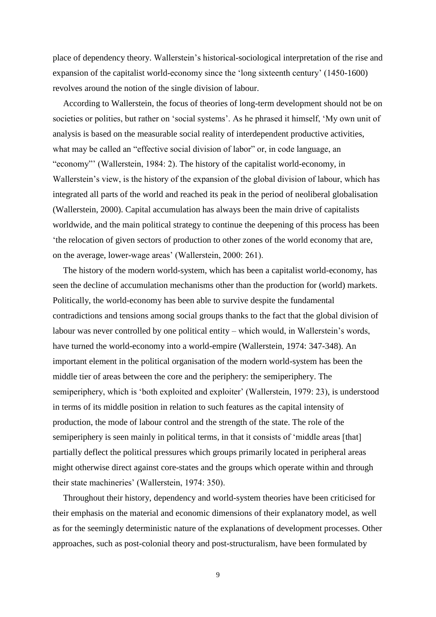place of dependency theory. Wallerstein's historical-sociological interpretation of the rise and expansion of the capitalist world-economy since the 'long sixteenth century' (1450-1600) revolves around the notion of the single division of labour.

According to Wallerstein, the focus of theories of long-term development should not be on societies or polities, but rather on 'social systems'. As he phrased it himself, 'My own unit of analysis is based on the measurable social reality of interdependent productive activities, what may be called an "effective social division of labor" or, in code language, an "economy"' (Wallerstein, 1984: 2). The history of the capitalist world-economy, in Wallerstein's view, is the history of the expansion of the global division of labour, which has integrated all parts of the world and reached its peak in the period of neoliberal globalisation (Wallerstein, 2000). Capital accumulation has always been the main drive of capitalists worldwide, and the main political strategy to continue the deepening of this process has been 'the relocation of given sectors of production to other zones of the world economy that are, on the average, lower-wage areas' (Wallerstein, 2000: 261).

The history of the modern world-system, which has been a capitalist world-economy, has seen the decline of accumulation mechanisms other than the production for (world) markets. Politically, the world-economy has been able to survive despite the fundamental contradictions and tensions among social groups thanks to the fact that the global division of labour was never controlled by one political entity – which would, in Wallerstein's words, have turned the world-economy into a world-empire (Wallerstein, 1974: 347-348). An important element in the political organisation of the modern world-system has been the middle tier of areas between the core and the periphery: the semiperiphery. The semiperiphery, which is 'both exploited and exploiter' (Wallerstein, 1979: 23), is understood in terms of its middle position in relation to such features as the capital intensity of production, the mode of labour control and the strength of the state. The role of the semiperiphery is seen mainly in political terms, in that it consists of 'middle areas [that] partially deflect the political pressures which groups primarily located in peripheral areas might otherwise direct against core-states and the groups which operate within and through their state machineries' (Wallerstein, 1974: 350).

Throughout their history, dependency and world-system theories have been criticised for their emphasis on the material and economic dimensions of their explanatory model, as well as for the seemingly deterministic nature of the explanations of development processes. Other approaches, such as post-colonial theory and post-structuralism, have been formulated by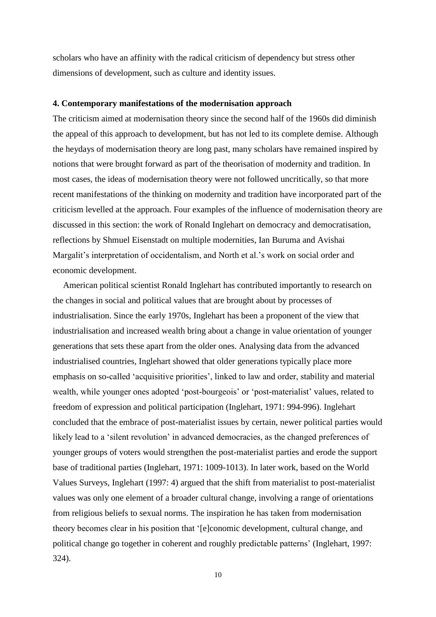scholars who have an affinity with the radical criticism of dependency but stress other dimensions of development, such as culture and identity issues.

#### **4. Contemporary manifestations of the modernisation approach**

The criticism aimed at modernisation theory since the second half of the 1960s did diminish the appeal of this approach to development, but has not led to its complete demise. Although the heydays of modernisation theory are long past, many scholars have remained inspired by notions that were brought forward as part of the theorisation of modernity and tradition. In most cases, the ideas of modernisation theory were not followed uncritically, so that more recent manifestations of the thinking on modernity and tradition have incorporated part of the criticism levelled at the approach. Four examples of the influence of modernisation theory are discussed in this section: the work of Ronald Inglehart on democracy and democratisation, reflections by Shmuel Eisenstadt on multiple modernities, Ian Buruma and Avishai Margalit's interpretation of occidentalism, and North et al.'s work on social order and economic development.

American political scientist Ronald Inglehart has contributed importantly to research on the changes in social and political values that are brought about by processes of industrialisation. Since the early 1970s, Inglehart has been a proponent of the view that industrialisation and increased wealth bring about a change in value orientation of younger generations that sets these apart from the older ones. Analysing data from the advanced industrialised countries, Inglehart showed that older generations typically place more emphasis on so-called 'acquisitive priorities', linked to law and order, stability and material wealth, while younger ones adopted 'post-bourgeois' or 'post-materialist' values, related to freedom of expression and political participation (Inglehart, 1971: 994-996). Inglehart concluded that the embrace of post-materialist issues by certain, newer political parties would likely lead to a 'silent revolution' in advanced democracies, as the changed preferences of younger groups of voters would strengthen the post-materialist parties and erode the support base of traditional parties (Inglehart, 1971: 1009-1013). In later work, based on the World Values Surveys, Inglehart (1997: 4) argued that the shift from materialist to post-materialist values was only one element of a broader cultural change, involving a range of orientations from religious beliefs to sexual norms. The inspiration he has taken from modernisation theory becomes clear in his position that '[e]conomic development, cultural change, and political change go together in coherent and roughly predictable patterns' (Inglehart, 1997: 324).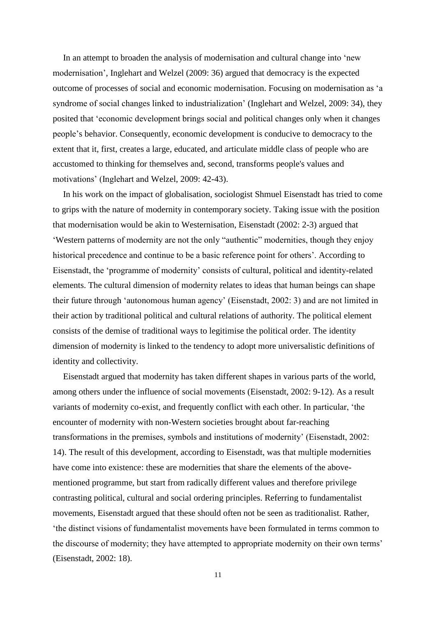In an attempt to broaden the analysis of modernisation and cultural change into 'new modernisation', Inglehart and Welzel (2009: 36) argued that democracy is the expected outcome of processes of social and economic modernisation. Focusing on modernisation as 'a syndrome of social changes linked to industrialization' (Inglehart and Welzel, 2009: 34), they posited that 'economic development brings social and political changes only when it changes people's behavior. Consequently, economic development is conducive to democracy to the extent that it, first, creates a large, educated, and articulate middle class of people who are accustomed to thinking for themselves and, second, transforms people's values and motivations' (Inglehart and Welzel, 2009: 42-43).

In his work on the impact of globalisation, sociologist Shmuel Eisenstadt has tried to come to grips with the nature of modernity in contemporary society. Taking issue with the position that modernisation would be akin to Westernisation, Eisenstadt (2002: 2-3) argued that 'Western patterns of modernity are not the only "authentic" modernities, though they enjoy historical precedence and continue to be a basic reference point for others'. According to Eisenstadt, the 'programme of modernity' consists of cultural, political and identity-related elements. The cultural dimension of modernity relates to ideas that human beings can shape their future through 'autonomous human agency' (Eisenstadt, 2002: 3) and are not limited in their action by traditional political and cultural relations of authority. The political element consists of the demise of traditional ways to legitimise the political order. The identity dimension of modernity is linked to the tendency to adopt more universalistic definitions of identity and collectivity.

Eisenstadt argued that modernity has taken different shapes in various parts of the world, among others under the influence of social movements (Eisenstadt, 2002: 9-12). As a result variants of modernity co-exist, and frequently conflict with each other. In particular, 'the encounter of modernity with non-Western societies brought about far-reaching transformations in the premises, symbols and institutions of modernity' (Eisenstadt, 2002: 14). The result of this development, according to Eisenstadt, was that multiple modernities have come into existence: these are modernities that share the elements of the abovementioned programme, but start from radically different values and therefore privilege contrasting political, cultural and social ordering principles. Referring to fundamentalist movements, Eisenstadt argued that these should often not be seen as traditionalist. Rather, 'the distinct visions of fundamentalist movements have been formulated in terms common to the discourse of modernity; they have attempted to appropriate modernity on their own terms' (Eisenstadt, 2002: 18).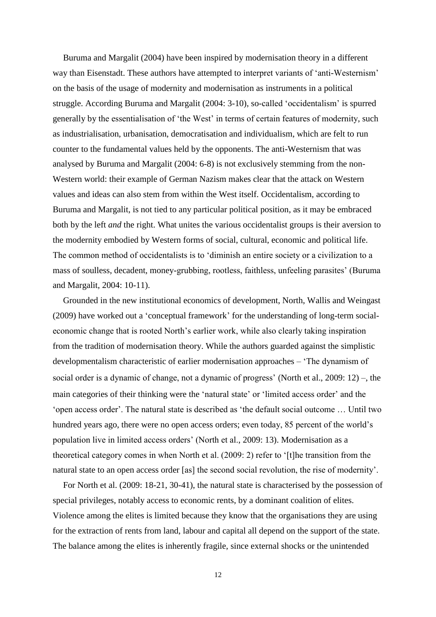Buruma and Margalit (2004) have been inspired by modernisation theory in a different way than Eisenstadt. These authors have attempted to interpret variants of 'anti-Westernism' on the basis of the usage of modernity and modernisation as instruments in a political struggle. According Buruma and Margalit (2004: 3-10), so-called 'occidentalism' is spurred generally by the essentialisation of 'the West' in terms of certain features of modernity, such as industrialisation, urbanisation, democratisation and individualism, which are felt to run counter to the fundamental values held by the opponents. The anti-Westernism that was analysed by Buruma and Margalit (2004: 6-8) is not exclusively stemming from the non-Western world: their example of German Nazism makes clear that the attack on Western values and ideas can also stem from within the West itself. Occidentalism, according to Buruma and Margalit, is not tied to any particular political position, as it may be embraced both by the left *and* the right. What unites the various occidentalist groups is their aversion to the modernity embodied by Western forms of social, cultural, economic and political life. The common method of occidentalists is to 'diminish an entire society or a civilization to a mass of soulless, decadent, money-grubbing, rootless, faithless, unfeeling parasites' (Buruma and Margalit, 2004: 10-11).

Grounded in the new institutional economics of development, North, Wallis and Weingast (2009) have worked out a 'conceptual framework' for the understanding of long-term socialeconomic change that is rooted North's earlier work, while also clearly taking inspiration from the tradition of modernisation theory. While the authors guarded against the simplistic developmentalism characteristic of earlier modernisation approaches – 'The dynamism of social order is a dynamic of change, not a dynamic of progress' (North et al., 2009: 12) –, the main categories of their thinking were the 'natural state' or 'limited access order' and the 'open access order'. The natural state is described as 'the default social outcome … Until two hundred years ago, there were no open access orders; even today, 85 percent of the world's population live in limited access orders' (North et al., 2009: 13). Modernisation as a theoretical category comes in when North et al. (2009: 2) refer to '[t]he transition from the natural state to an open access order [as] the second social revolution, the rise of modernity'.

For North et al. (2009: 18-21, 30-41), the natural state is characterised by the possession of special privileges, notably access to economic rents, by a dominant coalition of elites. Violence among the elites is limited because they know that the organisations they are using for the extraction of rents from land, labour and capital all depend on the support of the state. The balance among the elites is inherently fragile, since external shocks or the unintended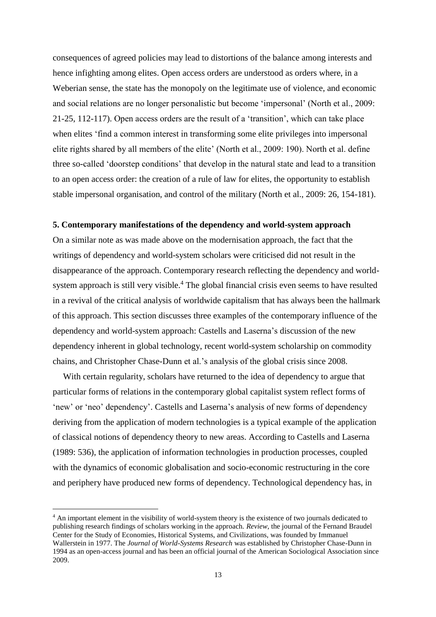consequences of agreed policies may lead to distortions of the balance among interests and hence infighting among elites. Open access orders are understood as orders where, in a Weberian sense, the state has the monopoly on the legitimate use of violence, and economic and social relations are no longer personalistic but become 'impersonal' (North et al., 2009: 21-25, 112-117). Open access orders are the result of a 'transition', which can take place when elites 'find a common interest in transforming some elite privileges into impersonal elite rights shared by all members of the elite' (North et al., 2009: 190). North et al. define three so-called 'doorstep conditions' that develop in the natural state and lead to a transition to an open access order: the creation of a rule of law for elites, the opportunity to establish stable impersonal organisation, and control of the military (North et al., 2009: 26, 154-181).

#### **5. Contemporary manifestations of the dependency and world-system approach**

On a similar note as was made above on the modernisation approach, the fact that the writings of dependency and world-system scholars were criticised did not result in the disappearance of the approach. Contemporary research reflecting the dependency and worldsystem approach is still very visible.<sup>4</sup> The global financial crisis even seems to have resulted in a revival of the critical analysis of worldwide capitalism that has always been the hallmark of this approach. This section discusses three examples of the contemporary influence of the dependency and world-system approach: Castells and Laserna's discussion of the new dependency inherent in global technology, recent world-system scholarship on commodity chains, and Christopher Chase-Dunn et al.'s analysis of the global crisis since 2008.

With certain regularity, scholars have returned to the idea of dependency to argue that particular forms of relations in the contemporary global capitalist system reflect forms of 'new' or 'neo' dependency'. Castells and Laserna's analysis of new forms of dependency deriving from the application of modern technologies is a typical example of the application of classical notions of dependency theory to new areas. According to Castells and Laserna (1989: 536), the application of information technologies in production processes, coupled with the dynamics of economic globalisation and socio-economic restructuring in the core and periphery have produced new forms of dependency. Technological dependency has, in

<sup>&</sup>lt;sup>4</sup> An important element in the visibility of world-system theory is the existence of two journals dedicated to publishing research findings of scholars working in the approach. *Review*, the journal of the Fernand Braudel Center for the Study of Economies, Historical Systems, and Civilizations, was founded by Immanuel Wallerstein in 1977. The *Journal of World-Systems Research* was established by Christopher Chase-Dunn in 1994 as an open-access journal and has been an official journal of the American Sociological Association since 2009.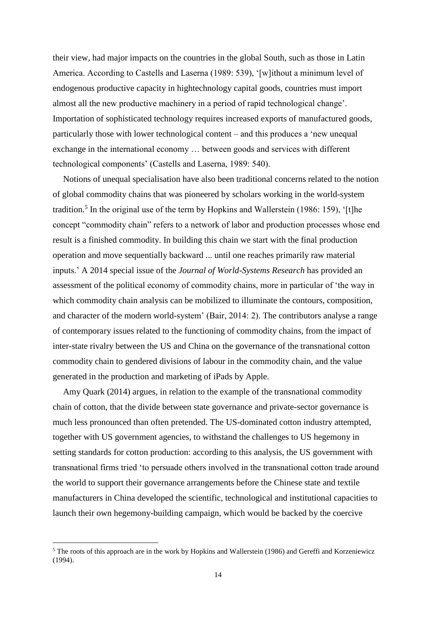their view, had major impacts on the countries in the global South, such as those in Latin America. According to Castells and Laserna (1989: 539), '[w]ithout a minimum level of endogenous productive capacity in hightechnology capital goods, countries must import almost all the new productive machinery in a period of rapid technological change'. Importation of sophisticated technology requires increased exports of manufactured goods, particularly those with lower technological content – and this produces a 'new unequal exchange in the international economy … between goods and services with different technological components' (Castells and Laserna, 1989: 540).

Notions of unequal specialisation have also been traditional concerns related to the notion of global commodity chains that was pioneered by scholars working in the world-system tradition.<sup>5</sup> In the original use of the term by Hopkins and Wallerstein (1986: 159), '[t]he concept "commodity chain" refers to a network of labor and production processes whose end result is a finished commodity. In building this chain we start with the final production operation and move sequentially backward ... until one reaches primarily raw material inputs.' A 2014 special issue of the *Journal of World-Systems Research* has provided an assessment of the political economy of commodity chains, more in particular of 'the way in which commodity chain analysis can be mobilized to illuminate the contours, composition, and character of the modern world-system' (Bair, 2014: 2). The contributors analyse a range of contemporary issues related to the functioning of commodity chains, from the impact of inter-state rivalry between the US and China on the governance of the transnational cotton commodity chain to gendered divisions of labour in the commodity chain, and the value generated in the production and marketing of iPads by Apple.

Amy Quark (2014) argues, in relation to the example of the transnational commodity chain of cotton, that the divide between state governance and private-sector governance is much less pronounced than often pretended. The US-dominated cotton industry attempted, together with US government agencies, to withstand the challenges to US hegemony in setting standards for cotton production: according to this analysis, the US government with transnational firms tried 'to persuade others involved in the transnational cotton trade around the world to support their governance arrangements before the Chinese state and textile manufacturers in China developed the scientific, technological and institutional capacities to launch their own hegemony-building campaign, which would be backed by the coercive

<sup>5</sup> The roots of this approach are in the work by Hopkins and Wallerstein (1986) and Gereffi and Korzeniewicz (1994).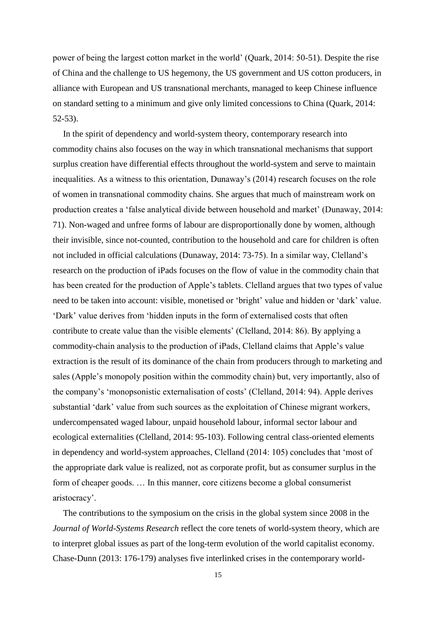power of being the largest cotton market in the world' (Quark, 2014: 50-51). Despite the rise of China and the challenge to US hegemony, the US government and US cotton producers, in alliance with European and US transnational merchants, managed to keep Chinese influence on standard setting to a minimum and give only limited concessions to China (Quark, 2014: 52-53).

In the spirit of dependency and world-system theory, contemporary research into commodity chains also focuses on the way in which transnational mechanisms that support surplus creation have differential effects throughout the world-system and serve to maintain inequalities. As a witness to this orientation, Dunaway's (2014) research focuses on the role of women in transnational commodity chains. She argues that much of mainstream work on production creates a 'false analytical divide between household and market' (Dunaway, 2014: 71). Non-waged and unfree forms of labour are disproportionally done by women, although their invisible, since not-counted, contribution to the household and care for children is often not included in official calculations (Dunaway, 2014: 73-75). In a similar way, Clelland's research on the production of iPads focuses on the flow of value in the commodity chain that has been created for the production of Apple's tablets. Clelland argues that two types of value need to be taken into account: visible, monetised or 'bright' value and hidden or 'dark' value. 'Dark' value derives from 'hidden inputs in the form of externalised costs that often contribute to create value than the visible elements' (Clelland, 2014: 86). By applying a commodity-chain analysis to the production of iPads, Clelland claims that Apple's value extraction is the result of its dominance of the chain from producers through to marketing and sales (Apple's monopoly position within the commodity chain) but, very importantly, also of the company's 'monopsonistic externalisation of costs' (Clelland, 2014: 94). Apple derives substantial 'dark' value from such sources as the exploitation of Chinese migrant workers, undercompensated waged labour, unpaid household labour, informal sector labour and ecological externalities (Clelland, 2014: 95-103). Following central class-oriented elements in dependency and world-system approaches, Clelland (2014: 105) concludes that 'most of the appropriate dark value is realized, not as corporate profit, but as consumer surplus in the form of cheaper goods. … In this manner, core citizens become a global consumerist aristocracy'.

The contributions to the symposium on the crisis in the global system since 2008 in the *Journal of World-Systems Research* reflect the core tenets of world-system theory, which are to interpret global issues as part of the long-term evolution of the world capitalist economy. Chase-Dunn (2013: 176-179) analyses five interlinked crises in the contemporary world-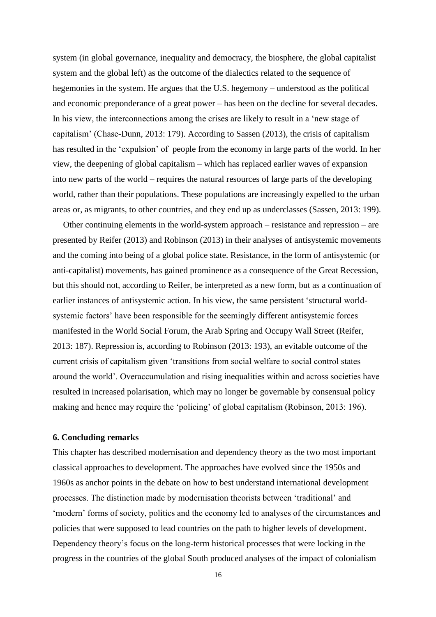system (in global governance, inequality and democracy, the biosphere, the global capitalist system and the global left) as the outcome of the dialectics related to the sequence of hegemonies in the system. He argues that the U.S. hegemony – understood as the political and economic preponderance of a great power – has been on the decline for several decades. In his view, the interconnections among the crises are likely to result in a 'new stage of capitalism' (Chase-Dunn, 2013: 179). According to Sassen (2013), the crisis of capitalism has resulted in the 'expulsion' of people from the economy in large parts of the world. In her view, the deepening of global capitalism – which has replaced earlier waves of expansion into new parts of the world – requires the natural resources of large parts of the developing world, rather than their populations. These populations are increasingly expelled to the urban areas or, as migrants, to other countries, and they end up as underclasses (Sassen, 2013: 199).

Other continuing elements in the world-system approach – resistance and repression – are presented by Reifer (2013) and Robinson (2013) in their analyses of antisystemic movements and the coming into being of a global police state. Resistance, in the form of antisystemic (or anti-capitalist) movements, has gained prominence as a consequence of the Great Recession, but this should not, according to Reifer, be interpreted as a new form, but as a continuation of earlier instances of antisystemic action. In his view, the same persistent 'structural worldsystemic factors' have been responsible for the seemingly different antisystemic forces manifested in the World Social Forum, the Arab Spring and Occupy Wall Street (Reifer, 2013: 187). Repression is, according to Robinson (2013: 193), an evitable outcome of the current crisis of capitalism given 'transitions from social welfare to social control states around the world'. Overaccumulation and rising inequalities within and across societies have resulted in increased polarisation, which may no longer be governable by consensual policy making and hence may require the 'policing' of global capitalism (Robinson, 2013: 196).

# **6. Concluding remarks**

This chapter has described modernisation and dependency theory as the two most important classical approaches to development. The approaches have evolved since the 1950s and 1960s as anchor points in the debate on how to best understand international development processes. The distinction made by modernisation theorists between 'traditional' and 'modern' forms of society, politics and the economy led to analyses of the circumstances and policies that were supposed to lead countries on the path to higher levels of development. Dependency theory's focus on the long-term historical processes that were locking in the progress in the countries of the global South produced analyses of the impact of colonialism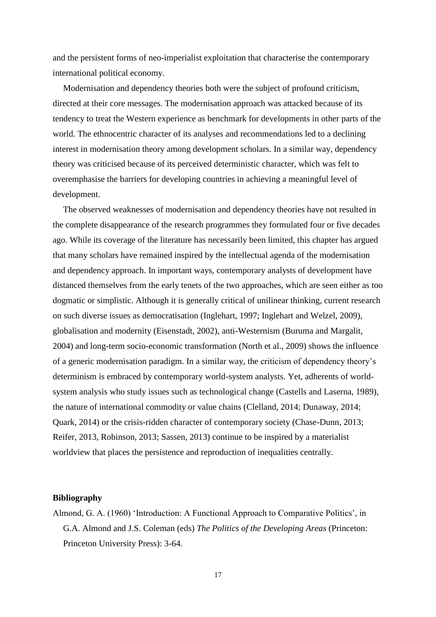and the persistent forms of neo-imperialist exploitation that characterise the contemporary international political economy.

Modernisation and dependency theories both were the subject of profound criticism, directed at their core messages. The modernisation approach was attacked because of its tendency to treat the Western experience as benchmark for developments in other parts of the world. The ethnocentric character of its analyses and recommendations led to a declining interest in modernisation theory among development scholars. In a similar way, dependency theory was criticised because of its perceived deterministic character, which was felt to overemphasise the barriers for developing countries in achieving a meaningful level of development.

The observed weaknesses of modernisation and dependency theories have not resulted in the complete disappearance of the research programmes they formulated four or five decades ago. While its coverage of the literature has necessarily been limited, this chapter has argued that many scholars have remained inspired by the intellectual agenda of the modernisation and dependency approach. In important ways, contemporary analysts of development have distanced themselves from the early tenets of the two approaches, which are seen either as too dogmatic or simplistic. Although it is generally critical of unilinear thinking, current research on such diverse issues as democratisation (Inglehart, 1997; Inglehart and Welzel, 2009), globalisation and modernity (Eisenstadt, 2002), anti-Westernism (Buruma and Margalit, 2004) and long-term socio-economic transformation (North et al., 2009) shows the influence of a generic modernisation paradigm. In a similar way, the criticism of dependency theory's determinism is embraced by contemporary world-system analysts. Yet, adherents of worldsystem analysis who study issues such as technological change (Castells and Laserna, 1989), the nature of international commodity or value chains (Clelland, 2014; Dunaway, 2014; Quark, 2014) or the crisis-ridden character of contemporary society (Chase-Dunn, 2013; Reifer, 2013, Robinson, 2013; Sassen, 2013) continue to be inspired by a materialist worldview that places the persistence and reproduction of inequalities centrally.

### **Bibliography**

Almond, G. A. (1960) 'Introduction: A Functional Approach to Comparative Politics', in G.A. Almond and J.S. Coleman (eds) *The Politics of the Developing Areas* (Princeton: Princeton University Press): 3-64.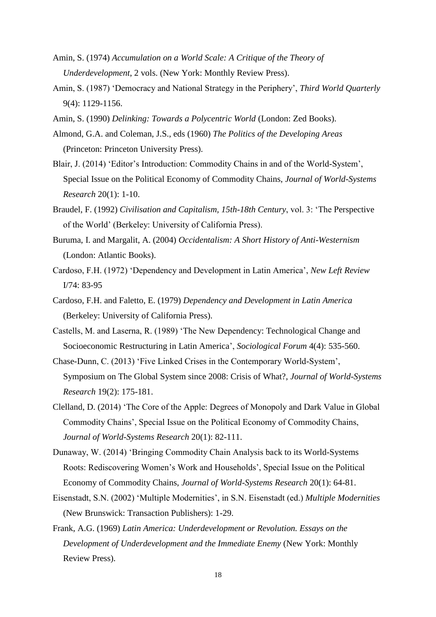- Amin, S. (1974) *Accumulation on a World Scale: A Critique of the Theory of Underdevelopment*, 2 vols. (New York: Monthly Review Press).
- Amin, S. (1987) 'Democracy and National Strategy in the Periphery', *Third World Quarterly* 9(4): 1129-1156.
- Amin, S. (1990) *Delinking: Towards a Polycentric World* (London: Zed Books).
- Almond, G.A. and Coleman, J.S., eds (1960) *The Politics of the Developing Areas* (Princeton: Princeton University Press).
- Blair, J. (2014) 'Editor's Introduction: Commodity Chains in and of the World-System', Special Issue on the Political Economy of Commodity Chains, *Journal of World-Systems Research* 20(1): 1-10.
- Braudel, F. (1992) *Civilisation and Capitalism, 15th-18th Century*, vol. 3: 'The Perspective of the World' (Berkeley: University of California Press).
- Buruma, I. and Margalit, A. (2004) *Occidentalism: A Short History of Anti-Westernism* (London: Atlantic Books).
- Cardoso, F.H. (1972) 'Dependency and Development in Latin America', *New Left Review* I/74: 83-95
- Cardoso, F.H. and Faletto, E. (1979) *Dependency and Development in Latin America* (Berkeley: University of California Press).
- Castells, M. and Laserna, R. (1989) 'The New Dependency: Technological Change and Socioeconomic Restructuring in Latin America', *Sociological Forum* 4(4): 535-560.
- Chase-Dunn, C. (2013) 'Five Linked Crises in the Contemporary World-System', Symposium on The Global System since 2008: Crisis of What?, *Journal of World-Systems Research* 19(2): 175-181.
- Clelland, D. (2014) 'The Core of the Apple: Degrees of Monopoly and Dark Value in Global Commodity Chains', Special Issue on the Political Economy of Commodity Chains, *Journal of World-Systems Research* 20(1): 82-111.
- Dunaway, W. (2014) 'Bringing Commodity Chain Analysis back to its World-Systems Roots: Rediscovering Women's Work and Households', Special Issue on the Political Economy of Commodity Chains, *Journal of World-Systems Research* 20(1): 64-81.
- Eisenstadt, S.N. (2002) 'Multiple Modernities', in S.N. Eisenstadt (ed.) *Multiple Modernities* (New Brunswick: Transaction Publishers): 1-29.
- Frank, A.G. (1969) *Latin America: Underdevelopment or Revolution. Essays on the Development of Underdevelopment and the Immediate Enemy* (New York: Monthly Review Press).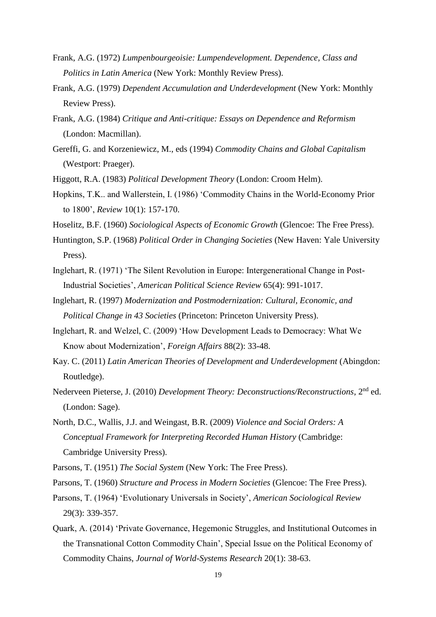- Frank, A.G. (1972) *Lumpenbourgeoisie: Lumpendevelopment. Dependence, Class and Politics in Latin America* (New York: Monthly Review Press).
- Frank, A.G. (1979) *Dependent Accumulation and Underdevelopment* (New York: Monthly Review Press).
- Frank, A.G. (1984) *Critique and Anti-critique: Essays on Dependence and Reformism* (London: Macmillan).
- Gereffi, G. and Korzeniewicz, M., eds (1994) *Commodity Chains and Global Capitalism* (Westport: Praeger).
- Higgott, R.A. (1983) *Political Development Theory* (London: Croom Helm).
- Hopkins, T.K.. and Wallerstein, I. (1986) 'Commodity Chains in the World-Economy Prior to 1800', *Review* 10(1): 157-170.
- Hoselitz, B.F. (1960) *Sociological Aspects of Economic Growth* (Glencoe: The Free Press).
- Huntington, S.P. (1968) *Political Order in Changing Societies* (New Haven: Yale University Press).
- Inglehart, R. (1971) 'The Silent Revolution in Europe: Intergenerational Change in Post-Industrial Societies', *American Political Science Review* 65(4): 991-1017.
- Inglehart, R. (1997) *Modernization and Postmodernization: Cultural, Economic, and Political Change in 43 Societies* (Princeton: Princeton University Press).
- Inglehart, R. and Welzel, C. (2009) 'How Development Leads to Democracy: What We Know about Modernization', *Foreign Affairs* 88(2): 33-48.
- Kay. C. (2011) *Latin American Theories of Development and Underdevelopment* (Abingdon: Routledge).
- Nederveen Pieterse, J. (2010) *Development Theory: Deconstructions/Reconstructions*, 2nd ed. (London: Sage).
- North, D.C., Wallis, J.J. and Weingast, B.R. (2009) *Violence and Social Orders: A Conceptual Framework for Interpreting Recorded Human History* (Cambridge: Cambridge University Press).
- Parsons, T. (1951) *The Social System* (New York: The Free Press).
- Parsons, T. (1960) *Structure and Process in Modern Societies* (Glencoe: The Free Press).
- Parsons, T. (1964) 'Evolutionary Universals in Society', *American Sociological Review* 29(3): 339-357.
- Quark, A. (2014) 'Private Governance, Hegemonic Struggles, and Institutional Outcomes in the Transnational Cotton Commodity Chain', Special Issue on the Political Economy of Commodity Chains, *Journal of World-Systems Research* 20(1): 38-63.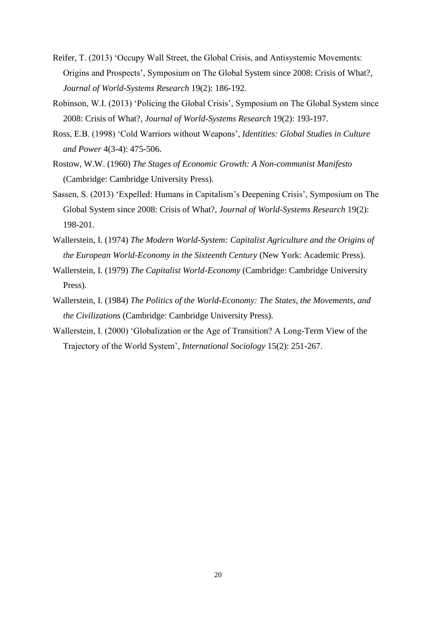- Reifer, T. (2013) 'Occupy Wall Street, the Global Crisis, and Antisystemic Movements: Origins and Prospects', Symposium on The Global System since 2008: Crisis of What?, *Journal of World-Systems Research* 19(2): 186-192.
- Robinson, W.I. (2013) 'Policing the Global Crisis', Symposium on The Global System since 2008: Crisis of What?, *Journal of World-Systems Research* 19(2): 193-197.
- Ross, E.B. (1998) 'Cold Warriors without Weapons', *Identities: Global Studies in Culture and Power* 4(3-4): 475-506.
- Rostow, W.W. (1960) *The Stages of Economic Growth: A Non-communist Manifesto* (Cambridge: Cambridge University Press).
- Sassen, S. (2013) 'Expelled: Humans in Capitalism's Deepening Crisis', Symposium on The Global System since 2008: Crisis of What?, *Journal of World-Systems Research* 19(2): 198-201.
- Wallerstein, I. (1974) *The Modern World-System: Capitalist Agriculture and the Origins of the European World-Economy in the Sixteenth Century* (New York: Academic Press).
- Wallerstein, I. (1979) *The Capitalist World-Economy* (Cambridge: Cambridge University Press).
- Wallerstein, I. (1984) *The Politics of the World-Economy: The States, the Movements, and the Civilizations* (Cambridge: Cambridge University Press).
- Wallerstein, I. (2000) 'Globalization or the Age of Transition? A Long-Term View of the Trajectory of the World System', *International Sociology* 15(2): 251-267.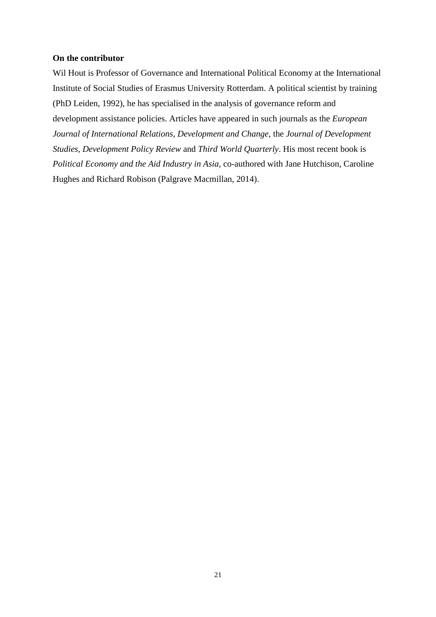# **On the contributor**

Wil Hout is Professor of Governance and International Political Economy at the International Institute of Social Studies of Erasmus University Rotterdam. A political scientist by training (PhD Leiden, 1992), he has specialised in the analysis of governance reform and development assistance policies. Articles have appeared in such journals as the *European Journal of International Relations*, *Development and Change*, the *Journal of Development Studies*, *Development Policy Review* and *Third World Quarterly*. His most recent book is *Political Economy and the Aid Industry in Asia*, co-authored with Jane Hutchison, Caroline Hughes and Richard Robison (Palgrave Macmillan, 2014).